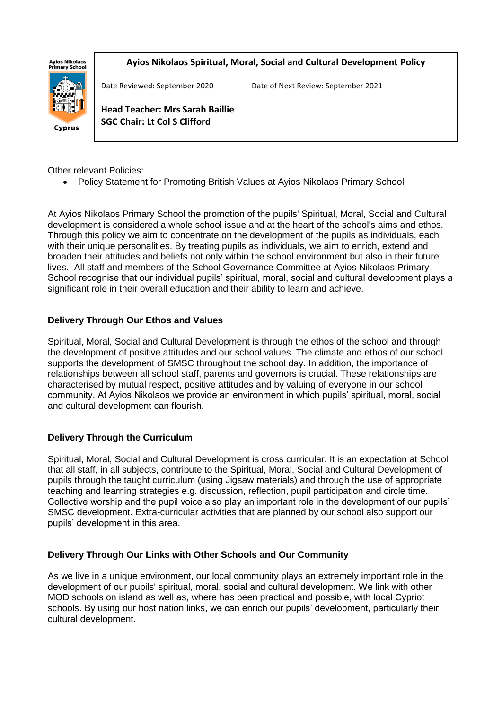

**Ayios Nikolaos Spiritual, Moral, Social and Cultural Development Policy**



Date Reviewed: September 2020 Date of Next Review: September 2021

**Head Teacher: Mrs Sarah Baillie SGC Chair: Lt Col S Clifford**

Other relevant Policies:

• Policy Statement for Promoting British Values at Ayios Nikolaos Primary School

At Ayios Nikolaos Primary School the promotion of the pupils' Spiritual, Moral, Social and Cultural development is considered a whole school issue and at the heart of the school's aims and ethos. Through this policy we aim to concentrate on the development of the pupils as individuals, each with their unique personalities. By treating pupils as individuals, we aim to enrich, extend and broaden their attitudes and beliefs not only within the school environment but also in their future lives. All staff and members of the School Governance Committee at Ayios Nikolaos Primary School recognise that our individual pupils' spiritual, moral, social and cultural development plays a significant role in their overall education and their ability to learn and achieve.

# **Delivery Through Our Ethos and Values**

Spiritual, Moral, Social and Cultural Development is through the ethos of the school and through the development of positive attitudes and our school values. The climate and ethos of our school supports the development of SMSC throughout the school day. In addition, the importance of relationships between all school staff, parents and governors is crucial. These relationships are characterised by mutual respect, positive attitudes and by valuing of everyone in our school community. At Ayios Nikolaos we provide an environment in which pupils' spiritual, moral, social and cultural development can flourish.

# **Delivery Through the Curriculum**

Spiritual, Moral, Social and Cultural Development is cross curricular. It is an expectation at School that all staff, in all subjects, contribute to the Spiritual, Moral, Social and Cultural Development of pupils through the taught curriculum (using Jigsaw materials) and through the use of appropriate teaching and learning strategies e.g. discussion, reflection, pupil participation and circle time. Collective worship and the pupil voice also play an important role in the development of our pupils' SMSC development. Extra-curricular activities that are planned by our school also support our pupils' development in this area.

# **Delivery Through Our Links with Other Schools and Our Community**

As we live in a unique environment, our local community plays an extremely important role in the development of our pupils' spiritual, moral, social and cultural development. We link with other MOD schools on island as well as, where has been practical and possible, with local Cypriot schools. By using our host nation links, we can enrich our pupils' development, particularly their cultural development.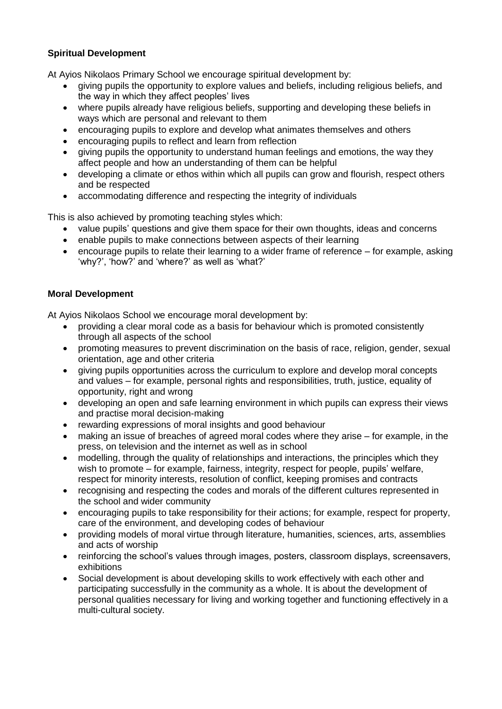### **Spiritual Development**

At Ayios Nikolaos Primary School we encourage spiritual development by:

- giving pupils the opportunity to explore values and beliefs, including religious beliefs, and the way in which they affect peoples' lives
- where pupils already have religious beliefs, supporting and developing these beliefs in ways which are personal and relevant to them
- encouraging pupils to explore and develop what animates themselves and others
- encouraging pupils to reflect and learn from reflection
- giving pupils the opportunity to understand human feelings and emotions, the way they affect people and how an understanding of them can be helpful
- developing a climate or ethos within which all pupils can grow and flourish, respect others and be respected
- accommodating difference and respecting the integrity of individuals

This is also achieved by promoting teaching styles which:

- value pupils' questions and give them space for their own thoughts, ideas and concerns
- enable pupils to make connections between aspects of their learning
- encourage pupils to relate their learning to a wider frame of reference for example, asking 'why?', 'how?' and 'where?' as well as 'what?'

### **Moral Development**

At Ayios Nikolaos School we encourage moral development by:

- providing a clear moral code as a basis for behaviour which is promoted consistently through all aspects of the school
- promoting measures to prevent discrimination on the basis of race, religion, gender, sexual orientation, age and other criteria
- giving pupils opportunities across the curriculum to explore and develop moral concepts and values – for example, personal rights and responsibilities, truth, justice, equality of opportunity, right and wrong
- developing an open and safe learning environment in which pupils can express their views and practise moral decision-making
- rewarding expressions of moral insights and good behaviour
- making an issue of breaches of agreed moral codes where they arise for example, in the press, on television and the internet as well as in school
- modelling, through the quality of relationships and interactions, the principles which they wish to promote – for example, fairness, integrity, respect for people, pupils' welfare, respect for minority interests, resolution of conflict, keeping promises and contracts
- recognising and respecting the codes and morals of the different cultures represented in the school and wider community
- encouraging pupils to take responsibility for their actions; for example, respect for property, care of the environment, and developing codes of behaviour
- providing models of moral virtue through literature, humanities, sciences, arts, assemblies and acts of worship
- reinforcing the school's values through images, posters, classroom displays, screensavers, exhibitions
- Social development is about developing skills to work effectively with each other and participating successfully in the community as a whole. It is about the development of personal qualities necessary for living and working together and functioning effectively in a multi-cultural society.